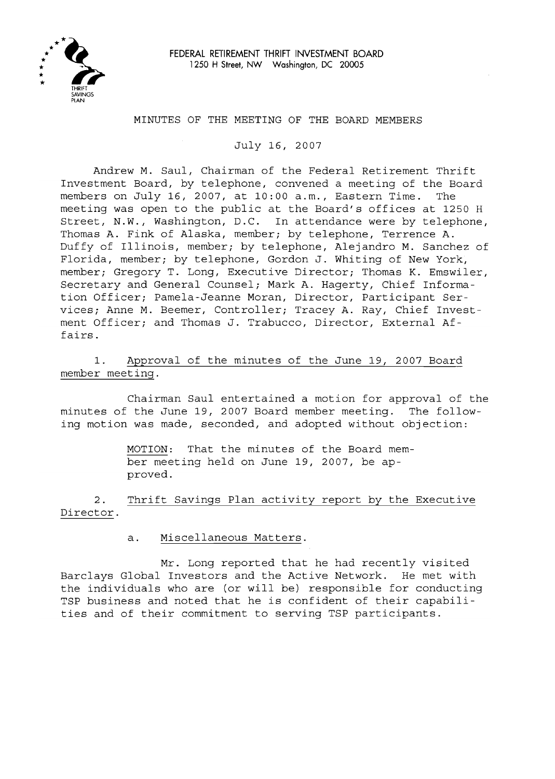

### MINUTES OF THE MEETING OF THE BOARD MEMBERS

July 16, 2007

Andrew M. Saul, Chairman of the Federal Retirement Thrift Investment Board, by telephone, convened a meeting of the Board members on July 16, 2007, at 10:00 a.m., Eastern Time. The meeting was open to the public at the Board's offices at 1250 <sup>H</sup> Street, N.W., Washington, D.C. In attendance were by telephone, Thomas A. Fink of Alaska, member; by telephone, Terrence A. Duffy of Illinois, member; by telephone, Alejandro M. Sanchez of Florida, member; by telephone, Gordon J. Whiting of New York, member; Gregory T. Long, Executive Director; Thomas K. Emswiler, Secretary and General Counsel; Mark A. Hagerty, Chief Information Officer; Pamela-Jeanne Moran, Director, Participant Services; Anne M. Beemer, Controller; Tracey A. Ray, Chief Investment Officer; and Thomas J. Trabucco, Director, External Affairs.

1. Approval of the minutes of the June 19, 2007 Board member meeting.

Chairman Saul entertained a motion for approval of the minutes of the June 19, 2007 Board member meeting. The following motion was made, seconded, and adopted without objection:

> MOTION: That the minutes of the Board member meeting held on June 19, 2007, be approved.

2. Thrift Savings Plan activity report by the Executive Director.

a. Miscellaneous Matters.

Mr. Long reported that he had recently visited Barclays Global Investors and the Active Network. He met with the individuals who are (or will be) responsible for conducting TSP business and noted that he is confident of their capabilities and of their commitment to serving TSP participants.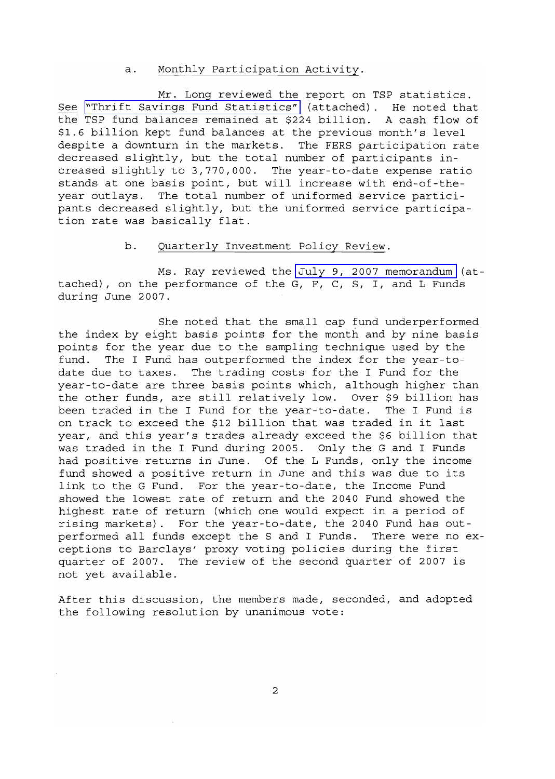## a. Monthly Participation Activity.

Mr. Long reviewed the report on TSP statistics. See "Thrift Savings Fund Statistics" (attached). He noted that the TSP fund balances remained at \$224 billion. <sup>A</sup> cash flow of \$1.6 billion kept fund balances at the previous month's level despite <sup>a</sup> downturn in the markets. The FERS participation rate decreased slightly, but the total number of participants increased slightly to 3,770,000. The year-to-date expense ratio stands at one basis point, but will increase with end-of-theyear outlays. The total number of uniformed service participants decreased slightly, but the uniformed service participation rate was basically flat.

## b. Quarterly Investment Policy Review.

Ms. Ray reviewed the July 9, 2007 memorandum (attached), on the performance of the G, F, C, S, I, and L Funds during June 2007.

She noted that the small cap fund underperformed the index by eight basis points for the month and by nine basis points for the year due to the sampling technique used by the fund. The I Fund has outperformed the index for the year-todate due to taxes. The trading costs for the I Fund for the year-to-date are three basis points which, although higher than the other funds, are still relatively low. Over \$9 billion has been traded in the <sup>I</sup> Fund for the year-to-date. The <sup>I</sup> Fund is on track to exceed the \$12 billion that was traded in it last year, and this year's trades already exceed the \$6 billion that was traded in the I Fund during 2005. Only the G and I Funds had positive returns in June. Of the L Funds, only the income fund showed <sup>a</sup> positive return in June and this was due to its link to the G Fund. For the year-to-date, the Income Fund showed the lowest rate of return and the 2040 Fund showed the highest rate of return (which one would expect in a period of rising markets). For the year-to-date, the 2040 Fund has outperformed all funds except the <sup>S</sup> and <sup>I</sup> Funds. There were no exceptions to Barclays' proxy voting policies during the first quarter of 2007. The review of the second quarter of 2007 is not yet available.

After this discussion, the members made, seconded, and adopted the following resolution by unanimous vote: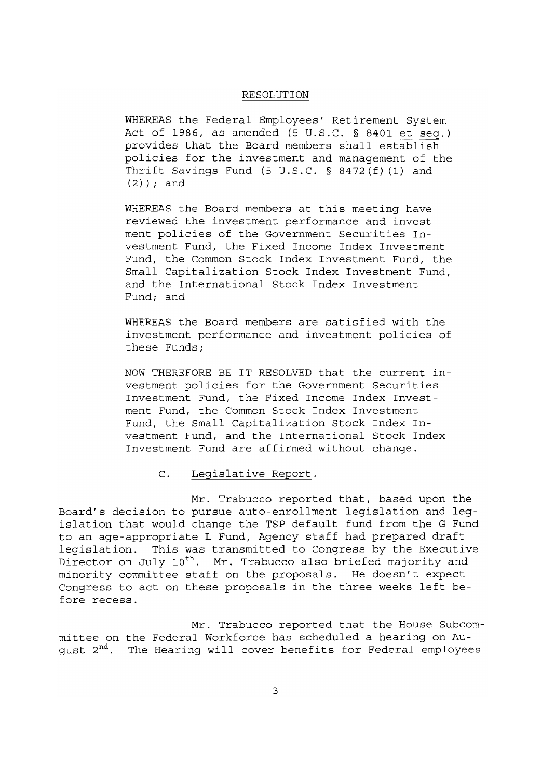#### RESOLUTION

WHEREAS the Federal Employees' Retirement System Act of 1986, as amended (5 U.S.C. § 8401 et seq.) provides that the Board members shall establish policies for the investment and management of the Thrift Savings Fund (5 U.S.C. § 8472(f) (1) and  $(2)$  ; and

WHEREAS the Board members at this meeting have reviewed the investment performance and investment policies of the Government Securities Investment Fund, the Fixed Income Index Investment Fund, the Common Stock Index Investment Fund, the Small Capitalization Stock Index Investment Fund, and the International Stock Index Investment Fund; and

WHEREAS the Board members are satisfied with the investment performance and investment policies of these Funds;

NOW THEREFORE BE IT RESOLVED that the current investment policies for the Government Securities Investment Fund, the Fixed Income Index Investment Fund, the Common Stock Index Investment Fund, the Small Capitalization Stock Index Investment Fund, and the International Stock Index Investment Fund are affirmed without change.

#### C. Legislative Report.

Mr. Trabucco reported that, based upon the Board's decision to pursue auto-enrollment legislation and legislation that would change the TSP default fund from the <sup>G</sup> Fund to an age-appropriate <sup>L</sup> Fund, Agency staff had prepared draft legislation. This was transmitted to Congress by the Executive Director on July 10<sup>th</sup>. Mr. Trabucco also briefed majority and minority committee staff on the proposals. He doesn't expect Congress to act on these proposals in the three weeks left before recess.

Mr. Trabucco reported that the House Subcommittee on the Federal Workforce has scheduled a hearing on August 2<sup>nd</sup>. The Hearing will cover benefits for Federal employees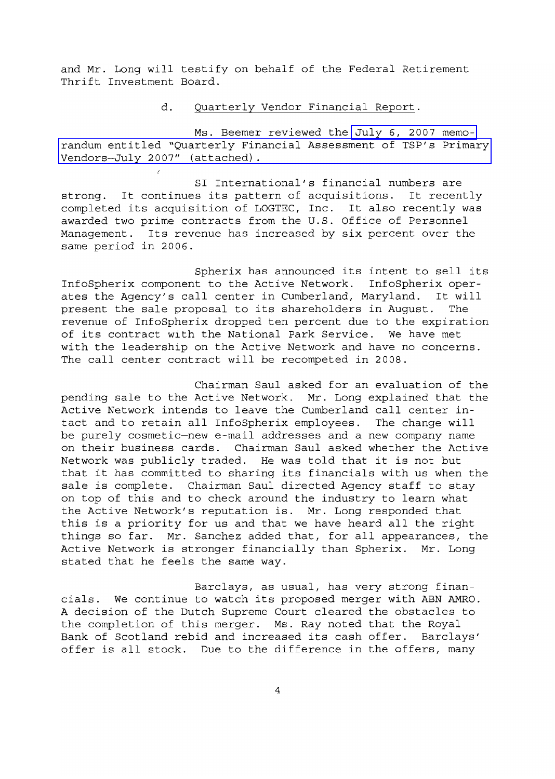and Mr. Long will testify on behalf of the Federal Retirement Thrift Investment Board.

#### d. Quarterly Vendor Financial Report.

Ms. Beemer reviewed the July 6, 2007 memorandum entitled "Quarterly Financial Assessment of TSP's Primary Vendors-July *2007"* (attached).

SI International's financial numbers are strong. It continues its pattern of acquisitions. It recently completed its acquisition of LOGTEC, Inc. It also recently was awarded two prime contracts from the U.S. Office of Personnel Management. Its revenue has increased by six percent over the same period in 2006.

Spherix has announced its intent to sell its InfoSpherix component to the Active Network. InfoSpherix operates the Agency's call center in Cumberland, Maryland. It will<br>present the sale proposal to its shareholders in August. The present the sale proposal to its shareholders in August. revenue of InfoSpherix dropped ten percent due to the expiration of its contract with the National Park Service. We have met with the leadership on the Active Network and have no concerns. The call center contract will be recompeted in 2008.

Chairman Saul asked for an evaluation of the pending sale to the Active Network. Mr. Long explained that the Active Network intends to leave the Cumberland call center intact and to retain all InfoSpherix employees. The change will be purely cosmetic-new e-mail addresses and a new company name on their business cards. Chairman Saul asked whether the Active Network was publicly traded. He was told that it is not but that it has committed to sharing its financials with us when the sale is complete. Chairman Saul directed Agency staff to stay on top of this and to check around the industry to learn what the Active Network's reputation is. Mr. Long responded that this is <sup>a</sup> priority for us and that we have heard all the right things so far. Mr. Sanchez added that, for all appearances, the Active Network is stronger financially than Spherix. Mr. Long stated that he feels the same way.

Barclays, as usual, has very strong financials. We continue to watch its proposed merger with ABN AMRO. A decision of the Dutch Supreme Court cleared the obstacles to the completion of this merger. Ms. Ray noted that the Royal Bank of Scotland rebid and increased its cash offer. Barclays' offer is all stock. Due to the difference in the offers, many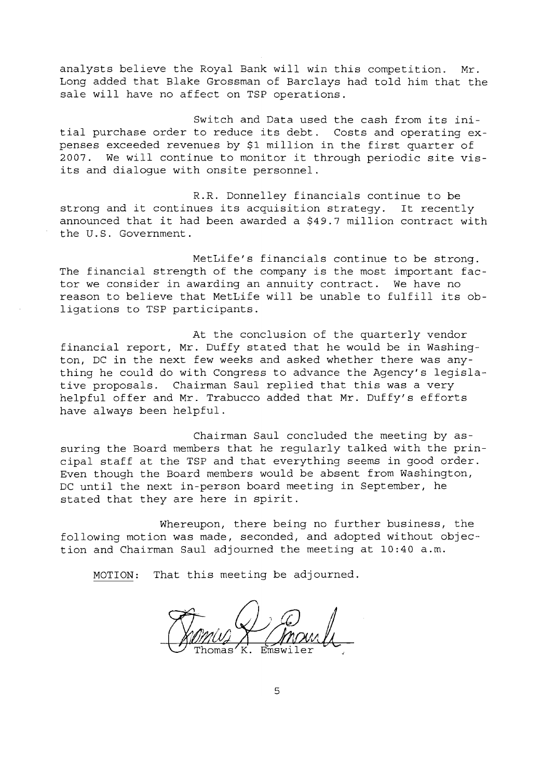analysts believe the Royal Bank will win this competition. Mr. Long added that Blake Grossman of Barclays had told him that the sale will have no affect on TSP operations.

Switch and Data used the cash from its initial purchase order to reduce its debt. Costs and operating expenses exceeded revenues by \$1 million in the first quarter of 2007. We will continue to monitor it through periodic site visits and dialogue with onsite personnel.

R.R. Donnelley financials continue to be strong and it continues its acquisition strategy. It recently announced that it had been awarded <sup>a</sup> \$49.7 million contract with the U.S. Government.

MetLife's financials continue to be strong. The financial strength of the company is the most important factor we consider in awarding an annuity contract. We have no reason to believe that MetLife will be unable to fulfill its obligations to TSP participants.

At the conclusion of the quarterly vendor financial report, Mr. Duffy stated that he would be in Washington, DC in the next few weeks and asked whether there was anything he could do with Congress to advance the Agency's legislative proposals. Chairman Saul replied that this was <sup>a</sup> very helpful offer and Mr. Trabucco added that Mr. Duffy's efforts have always been helpful.

Chairman Saul concluded the meeting by assuring the Board members that he regularly talked with the principal staff at the TSP and that everything seems in good order. Even though the Board members would be absent from Washington, DC until the next in-person board meeting in September, he stated that they are here in spirit.

Whereupon, there being no further business, the following motion was made, seconded, and adopted without objection and Chairman Saul adjourned the meeting at 10:40 a.m.

MOTION: That this meeting be adjourned.